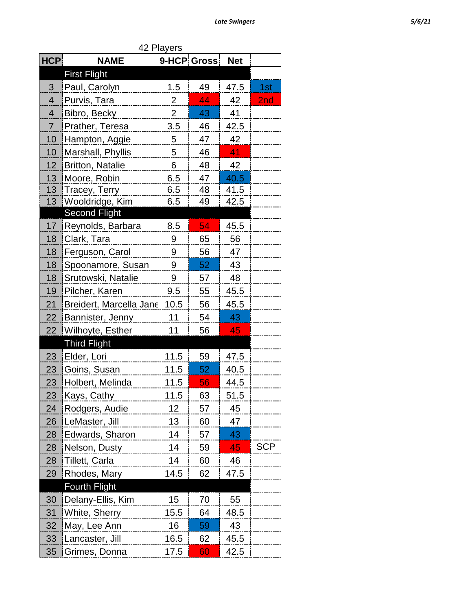|                 | <b>Late Swingers</b>    |                |             |            |            |
|-----------------|-------------------------|----------------|-------------|------------|------------|
|                 |                         |                |             |            |            |
| $\mathsf{ICP}$  | <b>NAME</b>             | 42 Players     | 9-HCP Gross | <b>Net</b> |            |
|                 | <b>First Flight</b>     |                |             |            |            |
| 3               | Paul, Carolyn           | 1.5            | 49          | 47.5       | 1st        |
| 4               | Purvis, Tara            | $\overline{2}$ | 44          | 42         | 2nd        |
| 4               | Bibro, Becky            | $\overline{2}$ | 43          | 41         |            |
| 7               | Prather, Teresa         | 3.5            | 46          | 42.5       |            |
| 10              | Hampton, Aggie          | 5              | 47          | 42         |            |
| 10              | Marshall, Phyllis       | 5              | 46          | 41         |            |
| 12              | Britton, Natalie        | 6              | 48          | 42         |            |
| 13              | Moore, Robin            | 6.5            | 47          | 40.5       |            |
| 13              | Tracey, Terry           | 6.5            | 48          | 41.5       |            |
| 13 <sup>7</sup> | Wooldridge, Kim         | 6.5            | 49          | 42.5       |            |
|                 | <b>Second Flight</b>    |                |             |            |            |
| 17 <sub>2</sub> | Reynolds, Barbara       | 8.5            | 54          | 45.5       |            |
| 18              | Clark, Tara             | 9              | 65          | 56         |            |
| 18              | Ferguson, Carol         | 9              | 56          | 47         |            |
| 18              | Spoonamore, Susan       | 9              | 52          | 43         |            |
| 18              | Srutowski, Natalie      | 9              | 57          | 48         |            |
| 19              | Pilcher, Karen          | 9.5            | 55          | 45.5       |            |
| 21              | Breidert, Marcella Jane | 10.5           | 56          | 45.5       |            |
| 22              | <b>Bannister, Jenny</b> | 11             | 54          | 43         |            |
| 22 <sub>2</sub> | Wilhoyte, Esther        | 11             | 56          | 45         |            |
|                 | <b>Third Flight</b>     |                |             |            |            |
| 23              | Elder, Lori             | 11.5           | 59          | 47.5       |            |
| 23              | Goins, Susan            | 11.5           | 52          | 40.5       |            |
| 23              | Holbert, Melinda        | 11.5           | 56          | 44.5       |            |
| 23              | Kays, Cathy             | 11.5           | 63          | 51.5       |            |
| 24              | Rodgers, Audie          | 12             | 57          | 45         |            |
| 26              | LeMaster, Jill          | 13             | 60          | 47         |            |
| 28              | Edwards, Sharon         | 14             | 57          | 43         |            |
| 28              | Nelson, Dusty           | 14             | 59          | 45         | <b>SCP</b> |
| 28              | Tillett, Carla          | 14             | 60          | 46         |            |
| 29              | Rhodes, Mary            | 14.5           | 62          | 47.5       |            |

| 23 | Elder, Lori          | 11.5 | 59 | 47.5 |
|----|----------------------|------|----|------|
| 23 | Goins, Susan         | 11.5 | 52 | 40.5 |
| 23 | Holbert, Melinda     | 11.5 | 56 | 44.5 |
| 23 | Kays, Cathy          | 11.5 | 63 | 51.5 |
| 24 | Rodgers, Audie       | 12   | 57 | 45   |
| 26 | LeMaster, Jill       | 13   | 60 | 47   |
| 28 | Edwards, Sharon      | 14   | 57 | 43   |
| 28 | Nelson, Dusty        | 14   | 59 | 45   |
| 28 | Tillett, Carla       | 14   | 60 | 46   |
| 29 | Rhodes, Mary         | 14.5 | 62 | 47.5 |
|    | <b>Fourth Flight</b> |      |    |      |
| 30 | Delany-Ellis, Kim    | 15   | 70 | 55   |
| 31 | White, Sherry        | 15.5 | 64 | 48.5 |
| 32 | May, Lee Ann         | 16   | 59 | 43   |

33 Lancaster, Jill 16.5 62 45.5 35 Grimes, Donna 17.5 60 42.5

**HCP NAME 9-HCP Gross Net**